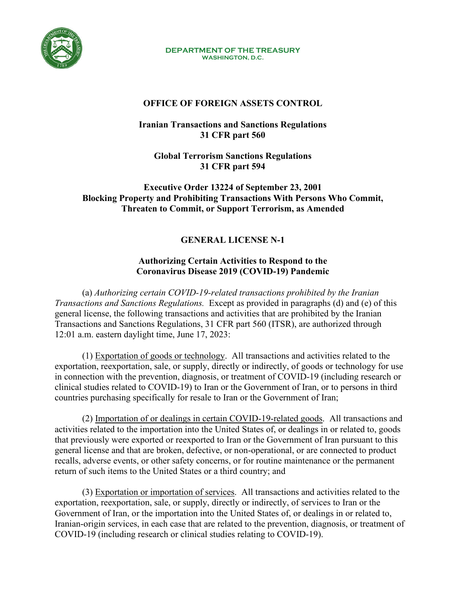

**DEPARTMENT OF THE TREASURY WASHINGTON, D.C.**

## **OFFICE OF FOREIGN ASSETS CONTROL**

**Iranian Transactions and Sanctions Regulations 31 CFR part 560** 

**Global Terrorism Sanctions Regulations 31 CFR part 594** 

**Executive Order 13224 of September 23, 2001 Blocking Property and Prohibiting Transactions With Persons Who Commit, Threaten to Commit, or Support Terrorism, as Amended**

## **GENERAL LICENSE N-1**

## **Authorizing Certain Activities to Respond to the Coronavirus Disease 2019 (COVID-19) Pandemic**

(a) *Authorizing certain COVID-19-related transactions prohibited by the Iranian Transactions and Sanctions Regulations.* Except as provided in paragraphs (d) and (e) of this general license, the following transactions and activities that are prohibited by the Iranian Transactions and Sanctions Regulations, 31 CFR part 560 (ITSR), are authorized through 12:01 a.m. eastern daylight time, June 17, 2023:

(1) Exportation of goods or technology. All transactions and activities related to the exportation, reexportation, sale, or supply, directly or indirectly, of goods or technology for use in connection with the prevention, diagnosis, or treatment of COVID-19 (including research or clinical studies related to COVID-19) to Iran or the Government of Iran, or to persons in third countries purchasing specifically for resale to Iran or the Government of Iran;

(2) Importation of or dealings in certain COVID-19-related goods. All transactions and activities related to the importation into the United States of, or dealings in or related to, goods that previously were exported or reexported to Iran or the Government of Iran pursuant to this general license and that are broken, defective, or non-operational, or are connected to product recalls, adverse events, or other safety concerns, or for routine maintenance or the permanent return of such items to the United States or a third country; and

(3) Exportation or importation of services. All transactions and activities related to the exportation, reexportation, sale, or supply, directly or indirectly, of services to Iran or the Government of Iran, or the importation into the United States of, or dealings in or related to, Iranian-origin services, in each case that are related to the prevention, diagnosis, or treatment of COVID-19 (including research or clinical studies relating to COVID-19).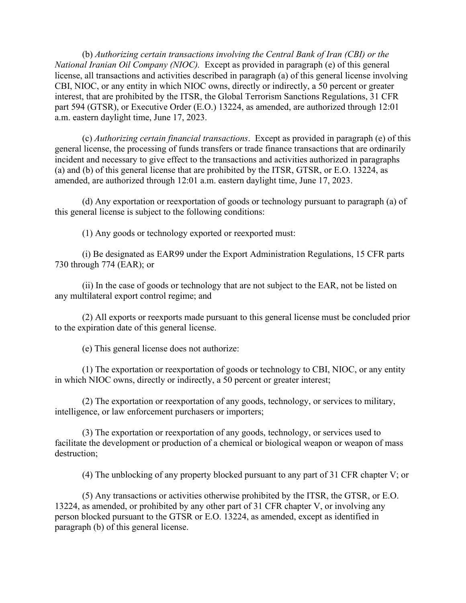(b) *Authorizing certain transactions involving the Central Bank of Iran (CBI) or the National Iranian Oil Company (NIOC).* Except as provided in paragraph (e) of this general license, all transactions and activities described in paragraph (a) of this general license involving CBI, NIOC, or any entity in which NIOC owns, directly or indirectly, a 50 percent or greater interest, that are prohibited by the ITSR, the Global Terrorism Sanctions Regulations, 31 CFR part 594 (GTSR), or Executive Order (E.O.) 13224, as amended, are authorized through 12:01 a.m. eastern daylight time, June 17, 2023.

(c) *Authorizing certain financial transactions*. Except as provided in paragraph (e) of this general license, the processing of funds transfers or trade finance transactions that are ordinarily incident and necessary to give effect to the transactions and activities authorized in paragraphs (a) and (b) of this general license that are prohibited by the ITSR, GTSR, or E.O. 13224, as amended, are authorized through 12:01 a.m. eastern daylight time, June 17, 2023.

(d) Any exportation or reexportation of goods or technology pursuant to paragraph (a) of this general license is subject to the following conditions:

(1) Any goods or technology exported or reexported must:

(i) Be designated as EAR99 under the Export Administration Regulations, 15 CFR parts 730 through 774 (EAR); or

(ii) In the case of goods or technology that are not subject to the EAR, not be listed on any multilateral export control regime; and

(2) All exports or reexports made pursuant to this general license must be concluded prior to the expiration date of this general license.

(e) This general license does not authorize:

(1) The exportation or reexportation of goods or technology to CBI, NIOC, or any entity in which NIOC owns, directly or indirectly, a 50 percent or greater interest;

(2) The exportation or reexportation of any goods, technology, or services to military, intelligence, or law enforcement purchasers or importers;

(3) The exportation or reexportation of any goods, technology, or services used to facilitate the development or production of a chemical or biological weapon or weapon of mass destruction;

(4) The unblocking of any property blocked pursuant to any part of 31 CFR chapter V; or

(5) Any transactions or activities otherwise prohibited by the ITSR, the GTSR, or E.O. 13224, as amended, or prohibited by any other part of 31 CFR chapter V, or involving any person blocked pursuant to the GTSR or E.O. 13224, as amended, except as identified in paragraph (b) of this general license.